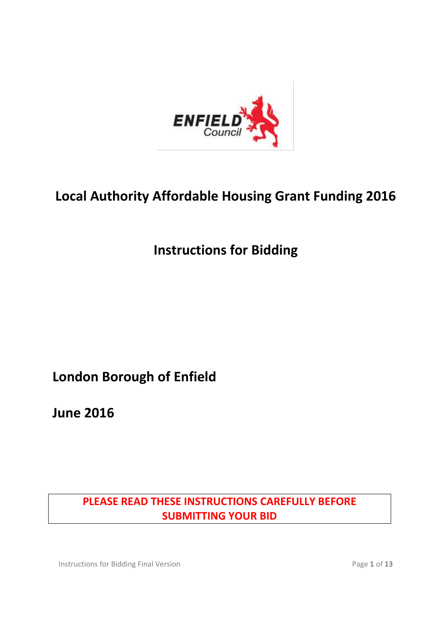

# **Local Authority Affordable Housing Grant Funding 2016**

## **Instructions for Bidding**

## **London Borough of Enfield**

**June 2016**

## **PLEASE READ THESE INSTRUCTIONS CAREFULLY BEFORE SUBMITTING YOUR BID**

Instructions for Bidding Final Version **Page 1** of 13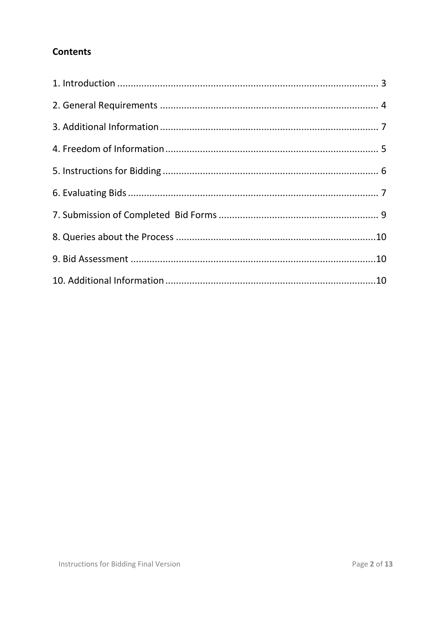## **Contents**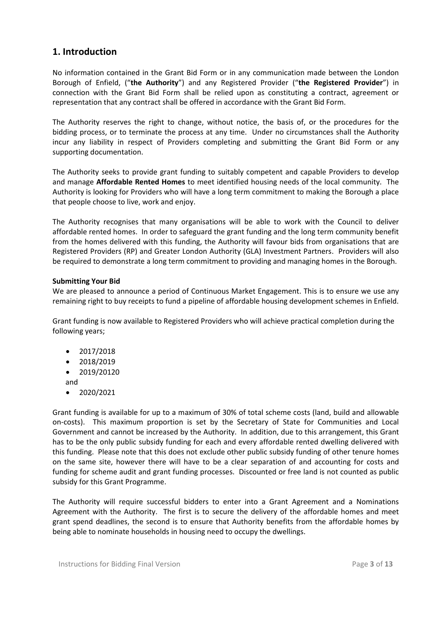## <span id="page-2-0"></span>**1. Introduction**

No information contained in the Grant Bid Form or in any communication made between the London Borough of Enfield, ("**the Authority**") and any Registered Provider ("**the Registered Provider**") in connection with the Grant Bid Form shall be relied upon as constituting a contract, agreement or representation that any contract shall be offered in accordance with the Grant Bid Form.

The Authority reserves the right to change, without notice, the basis of, or the procedures for the bidding process, or to terminate the process at any time. Under no circumstances shall the Authority incur any liability in respect of Providers completing and submitting the Grant Bid Form or any supporting documentation.

The Authority seeks to provide grant funding to suitably competent and capable Providers to develop and manage **Affordable Rented Homes** to meet identified housing needs of the local community. The Authority is looking for Providers who will have a long term commitment to making the Borough a place that people choose to live, work and enjoy.

The Authority recognises that many organisations will be able to work with the Council to deliver affordable rented homes. In order to safeguard the grant funding and the long term community benefit from the homes delivered with this funding, the Authority will favour bids from organisations that are Registered Providers (RP) and Greater London Authority (GLA) Investment Partners. Providers will also be required to demonstrate a long term commitment to providing and managing homes in the Borough.

#### **Submitting Your Bid**

We are pleased to announce a period of Continuous Market Engagement. This is to ensure we use any remaining right to buy receipts to fund a pipeline of affordable housing development schemes in Enfield.

Grant funding is now available to Registered Providers who will achieve practical completion during the following years;

- $2017/2018$
- $\bullet$  2018/2019
- $\bullet$  2019/20120
- and
- 2020/2021

Grant funding is available for up to a maximum of 30% of total scheme costs (land, build and allowable on-costs). This maximum proportion is set by the Secretary of State for Communities and Local Government and cannot be increased by the Authority. In addition, due to this arrangement, this Grant has to be the only public subsidy funding for each and every affordable rented dwelling delivered with this funding. Please note that this does not exclude other public subsidy funding of other tenure homes on the same site, however there will have to be a clear separation of and accounting for costs and funding for scheme audit and grant funding processes. Discounted or free land is not counted as public subsidy for this Grant Programme.

The Authority will require successful bidders to enter into a Grant Agreement and a Nominations Agreement with the Authority. The first is to secure the delivery of the affordable homes and meet grant spend deadlines, the second is to ensure that Authority benefits from the affordable homes by being able to nominate households in housing need to occupy the dwellings.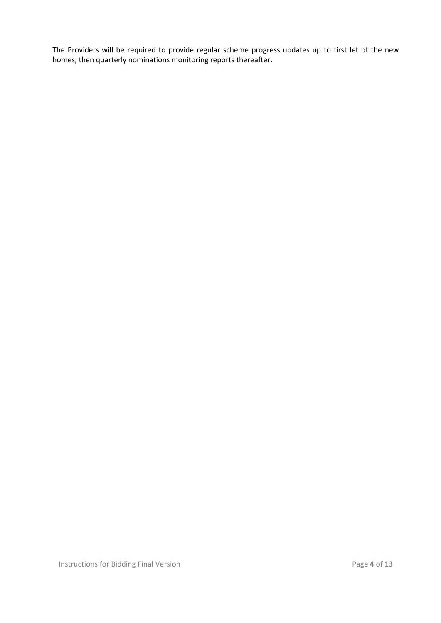<span id="page-3-0"></span>The Providers will be required to provide regular scheme progress updates up to first let of the new homes, then quarterly nominations monitoring reports thereafter.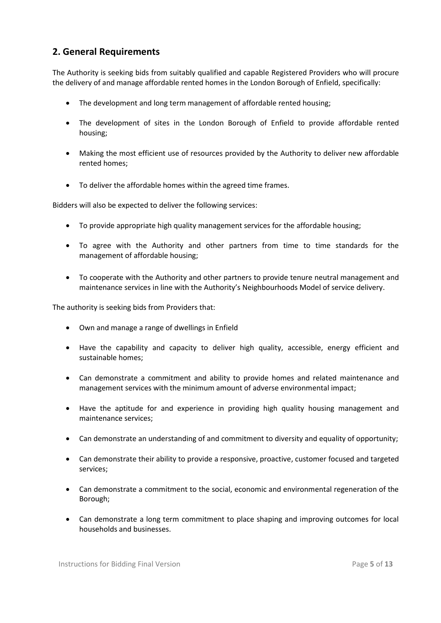## **2. General Requirements**

The Authority is seeking bids from suitably qualified and capable Registered Providers who will procure the delivery of and manage affordable rented homes in the London Borough of Enfield, specifically:

- The development and long term management of affordable rented housing;
- The development of sites in the London Borough of Enfield to provide affordable rented housing;
- Making the most efficient use of resources provided by the Authority to deliver new affordable rented homes;
- To deliver the affordable homes within the agreed time frames.

Bidders will also be expected to deliver the following services:

- To provide appropriate high quality management services for the affordable housing;
- To agree with the Authority and other partners from time to time standards for the management of affordable housing;
- To cooperate with the Authority and other partners to provide tenure neutral management and maintenance services in line with the Authority's Neighbourhoods Model of service delivery.

The authority is seeking bids from Providers that:

- Own and manage a range of dwellings in Enfield
- Have the capability and capacity to deliver high quality, accessible, energy efficient and sustainable homes;
- Can demonstrate a commitment and ability to provide homes and related maintenance and management services with the minimum amount of adverse environmental impact;
- Have the aptitude for and experience in providing high quality housing management and maintenance services;
- Can demonstrate an understanding of and commitment to diversity and equality of opportunity;
- Can demonstrate their ability to provide a responsive, proactive, customer focused and targeted services;
- Can demonstrate a commitment to the social, economic and environmental regeneration of the Borough;
- Can demonstrate a long term commitment to place shaping and improving outcomes for local households and businesses.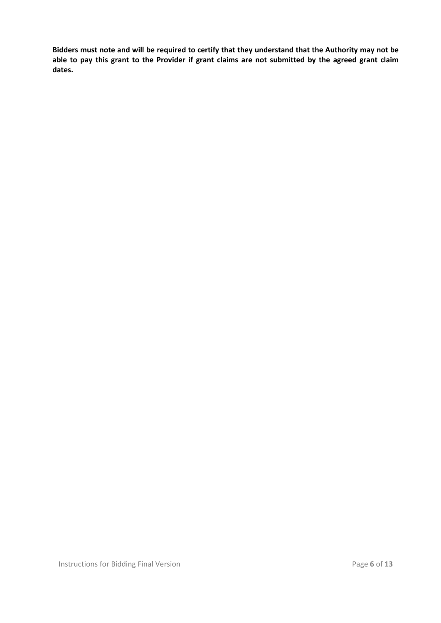**Bidders must note and will be required to certify that they understand that the Authority may not be able to pay this grant to the Provider if grant claims are not submitted by the agreed grant claim dates.**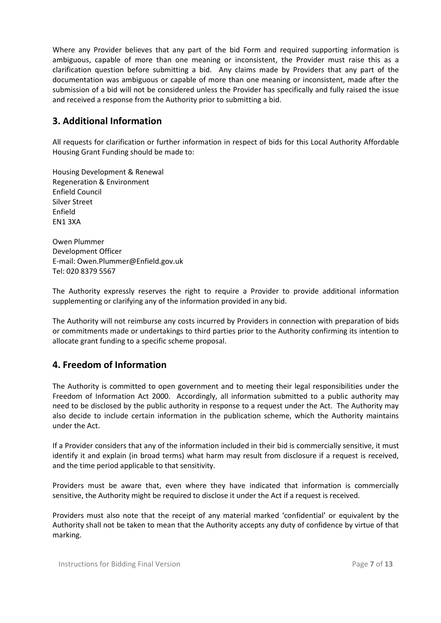Where any Provider believes that any part of the bid Form and required supporting information is ambiguous, capable of more than one meaning or inconsistent, the Provider must raise this as a clarification question before submitting a bid. Any claims made by Providers that any part of the documentation was ambiguous or capable of more than one meaning or inconsistent, made after the submission of a bid will not be considered unless the Provider has specifically and fully raised the issue and received a response from the Authority prior to submitting a bid.

## <span id="page-6-0"></span>**3. Additional Information**

All requests for clarification or further information in respect of bids for this Local Authority Affordable Housing Grant Funding should be made to:

Housing Development & Renewal Regeneration & Environment Enfield Council Silver Street Enfield EN1 3XA

Owen Plummer Development Officer E-mail: Owen.Plummer@Enfield.gov.uk Tel: 020 8379 5567

The Authority expressly reserves the right to require a Provider to provide additional information supplementing or clarifying any of the information provided in any bid.

The Authority will not reimburse any costs incurred by Providers in connection with preparation of bids or commitments made or undertakings to third parties prior to the Authority confirming its intention to allocate grant funding to a specific scheme proposal.

## <span id="page-6-1"></span>**4. Freedom of Information**

The Authority is committed to open government and to meeting their legal responsibilities under the Freedom of Information Act 2000. Accordingly, all information submitted to a public authority may need to be disclosed by the public authority in response to a request under the Act. The Authority may also decide to include certain information in the publication scheme, which the Authority maintains under the Act.

If a Provider considers that any of the information included in their bid is commercially sensitive, it must identify it and explain (in broad terms) what harm may result from disclosure if a request is received, and the time period applicable to that sensitivity.

Providers must be aware that, even where they have indicated that information is commercially sensitive, the Authority might be required to disclose it under the Act if a request is received.

Providers must also note that the receipt of any material marked 'confidential' or equivalent by the Authority shall not be taken to mean that the Authority accepts any duty of confidence by virtue of that marking.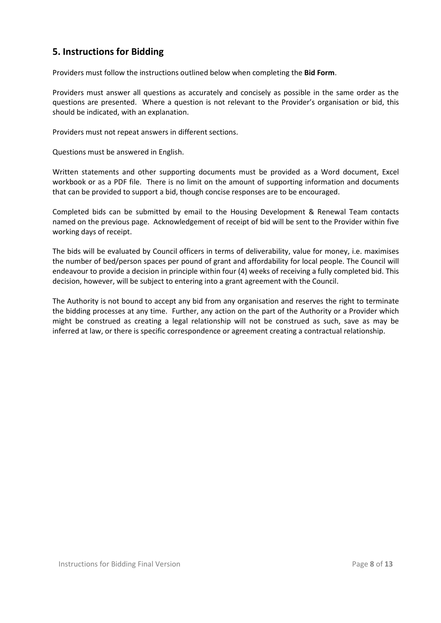## <span id="page-7-0"></span>**5. Instructions for Bidding**

Providers must follow the instructions outlined below when completing the **Bid Form**.

Providers must answer all questions as accurately and concisely as possible in the same order as the questions are presented. Where a question is not relevant to the Provider's organisation or bid, this should be indicated, with an explanation.

Providers must not repeat answers in different sections.

Questions must be answered in English.

Written statements and other supporting documents must be provided as a Word document, Excel workbook or as a PDF file. There is no limit on the amount of supporting information and documents that can be provided to support a bid, though concise responses are to be encouraged.

Completed bids can be submitted by email to the Housing Development & Renewal Team contacts named on the previous page. Acknowledgement of receipt of bid will be sent to the Provider within five working days of receipt.

The bids will be evaluated by Council officers in terms of deliverability, value for money, i.e. maximises the number of bed/person spaces per pound of grant and affordability for local people. The Council will endeavour to provide a decision in principle within four (4) weeks of receiving a fully completed bid. This decision, however, will be subject to entering into a grant agreement with the Council.

<span id="page-7-1"></span>The Authority is not bound to accept any bid from any organisation and reserves the right to terminate the bidding processes at any time. Further, any action on the part of the Authority or a Provider which might be construed as creating a legal relationship will not be construed as such, save as may be inferred at law, or there is specific correspondence or agreement creating a contractual relationship.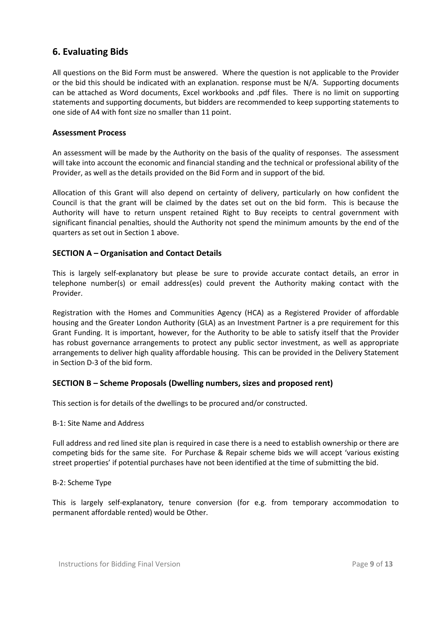## **6. Evaluating Bids**

All questions on the Bid Form must be answered. Where the question is not applicable to the Provider or the bid this should be indicated with an explanation. response must be N/A. Supporting documents can be attached as Word documents, Excel workbooks and .pdf files. There is no limit on supporting statements and supporting documents, but bidders are recommended to keep supporting statements to one side of A4 with font size no smaller than 11 point.

#### **Assessment Process**

An assessment will be made by the Authority on the basis of the quality of responses. The assessment will take into account the economic and financial standing and the technical or professional ability of the Provider, as well as the details provided on the Bid Form and in support of the bid.

Allocation of this Grant will also depend on certainty of delivery, particularly on how confident the Council is that the grant will be claimed by the dates set out on the bid form. This is because the Authority will have to return unspent retained Right to Buy receipts to central government with significant financial penalties, should the Authority not spend the minimum amounts by the end of the quarters as set out in Section 1 above.

#### **SECTION A – Organisation and Contact Details**

This is largely self-explanatory but please be sure to provide accurate contact details, an error in telephone number(s) or email address(es) could prevent the Authority making contact with the Provider.

Registration with the Homes and Communities Agency (HCA) as a Registered Provider of affordable housing and the Greater London Authority (GLA) as an Investment Partner is a pre requirement for this Grant Funding. It is important, however, for the Authority to be able to satisfy itself that the Provider has robust governance arrangements to protect any public sector investment, as well as appropriate arrangements to deliver high quality affordable housing. This can be provided in the Delivery Statement in Section D-3 of the bid form.

#### **SECTION B – Scheme Proposals (Dwelling numbers, sizes and proposed rent)**

This section is for details of the dwellings to be procured and/or constructed.

#### B-1: Site Name and Address

Full address and red lined site plan is required in case there is a need to establish ownership or there are competing bids for the same site. For Purchase & Repair scheme bids we will accept 'various existing street properties' if potential purchases have not been identified at the time of submitting the bid.

#### B-2: Scheme Type

This is largely self-explanatory, tenure conversion (for e.g. from temporary accommodation to permanent affordable rented) would be Other.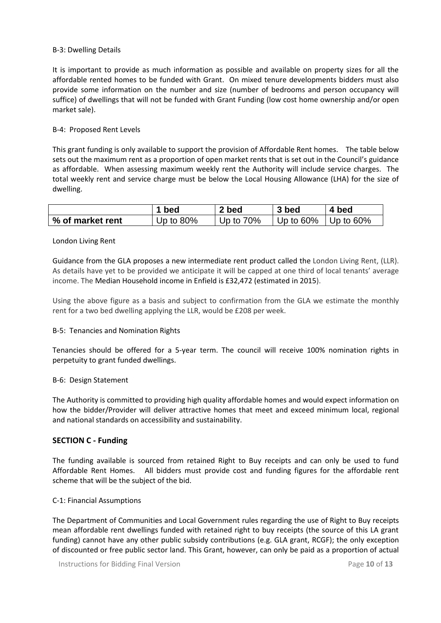#### B-3: Dwelling Details

It is important to provide as much information as possible and available on property sizes for all the affordable rented homes to be funded with Grant. On mixed tenure developments bidders must also provide some information on the number and size (number of bedrooms and person occupancy will suffice) of dwellings that will not be funded with Grant Funding (low cost home ownership and/or open market sale).

#### B-4: Proposed Rent Levels

This grant funding is only available to support the provision of Affordable Rent homes. The table below sets out the maximum rent as a proportion of open market rents that is set out in the Council's guidance as affordable. When assessing maximum weekly rent the Authority will include service charges. The total weekly rent and service charge must be below the Local Housing Allowance (LHA) for the size of dwelling.

|                  | 1 bed        | 2 bed        | 3 bed        | 4 bed             |
|------------------|--------------|--------------|--------------|-------------------|
| % of market rent | Up to $80\%$ | Up to $70\%$ | Up to $60\%$ | $\perp$ Up to 60% |

#### London Living Rent

Guidance from the GLA proposes a new intermediate rent product called the London Living Rent, (LLR). As details have yet to be provided we anticipate it will be capped at one third of local tenants' average income. The Median Household income in Enfield is £32,472 (estimated in 2015).

Using the above figure as a basis and subject to confirmation from the GLA we estimate the monthly rent for a two bed dwelling applying the LLR, would be £208 per week.

#### B-5: Tenancies and Nomination Rights

Tenancies should be offered for a 5-year term. The council will receive 100% nomination rights in perpetuity to grant funded dwellings.

#### B-6: Design Statement

The Authority is committed to providing high quality affordable homes and would expect information on how the bidder/Provider will deliver attractive homes that meet and exceed minimum local, regional and national standards on accessibility and sustainability.

#### **SECTION C - Funding**

The funding available is sourced from retained Right to Buy receipts and can only be used to fund Affordable Rent Homes. All bidders must provide cost and funding figures for the affordable rent scheme that will be the subject of the bid.

#### C-1: Financial Assumptions

The Department of Communities and Local Government rules regarding the use of Right to Buy receipts mean affordable rent dwellings funded with retained right to buy receipts (the source of this LA grant funding) cannot have any other public subsidy contributions (e.g. GLA grant, RCGF); the only exception of discounted or free public sector land. This Grant, however, can only be paid as a proportion of actual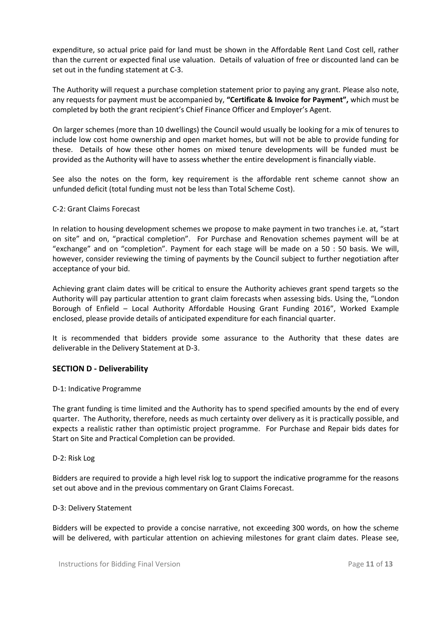expenditure, so actual price paid for land must be shown in the Affordable Rent Land Cost cell, rather than the current or expected final use valuation. Details of valuation of free or discounted land can be set out in the funding statement at C-3.

The Authority will request a purchase completion statement prior to paying any grant. Please also note, any requests for payment must be accompanied by, **"Certificate & Invoice for Payment",** which must be completed by both the grant recipient's Chief Finance Officer and Employer's Agent.

On larger schemes (more than 10 dwellings) the Council would usually be looking for a mix of tenures to include low cost home ownership and open market homes, but will not be able to provide funding for these. Details of how these other homes on mixed tenure developments will be funded must be provided as the Authority will have to assess whether the entire development is financially viable.

See also the notes on the form, key requirement is the affordable rent scheme cannot show an unfunded deficit (total funding must not be less than Total Scheme Cost).

#### C-2: Grant Claims Forecast

In relation to housing development schemes we propose to make payment in two tranches i.e. at, "start on site" and on, "practical completion". For Purchase and Renovation schemes payment will be at "exchange" and on "completion". Payment for each stage will be made on a 50 : 50 basis. We will, however, consider reviewing the timing of payments by the Council subject to further negotiation after acceptance of your bid.

Achieving grant claim dates will be critical to ensure the Authority achieves grant spend targets so the Authority will pay particular attention to grant claim forecasts when assessing bids. Using the, "London Borough of Enfield – Local Authority Affordable Housing Grant Funding 2016", Worked Example enclosed, please provide details of anticipated expenditure for each financial quarter.

It is recommended that bidders provide some assurance to the Authority that these dates are deliverable in the Delivery Statement at D-3.

#### **SECTION D - Deliverability**

#### D-1: Indicative Programme

The grant funding is time limited and the Authority has to spend specified amounts by the end of every quarter. The Authority, therefore, needs as much certainty over delivery as it is practically possible, and expects a realistic rather than optimistic project programme. For Purchase and Repair bids dates for Start on Site and Practical Completion can be provided.

#### D-2: Risk Log

Bidders are required to provide a high level risk log to support the indicative programme for the reasons set out above and in the previous commentary on Grant Claims Forecast.

#### D-3: Delivery Statement

Bidders will be expected to provide a concise narrative, not exceeding 300 words, on how the scheme will be delivered, with particular attention on achieving milestones for grant claim dates. Please see,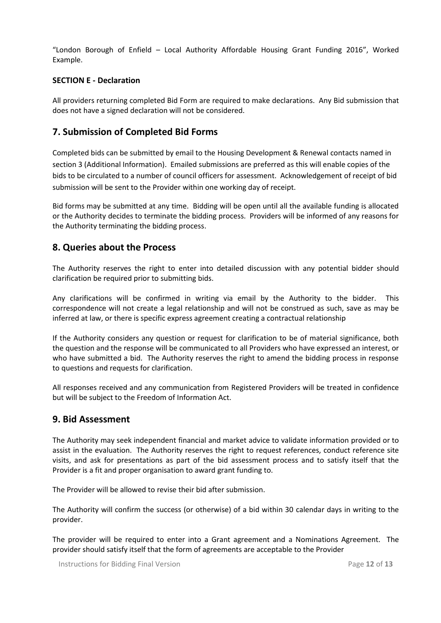"London Borough of Enfield – Local Authority Affordable Housing Grant Funding 2016", Worked Example.

#### **SECTION E - Declaration**

<span id="page-11-0"></span>All providers returning completed Bid Form are required to make declarations. Any Bid submission that does not have a signed declaration will not be considered.

## **7. Submission of Completed Bid Forms**

Completed bids can be submitted by email to the Housing Development & Renewal contacts named in section 3 (Additional Information). Emailed submissions are preferred as this will enable copies of the bids to be circulated to a number of council officers for assessment. Acknowledgement of receipt of bid submission will be sent to the Provider within one working day of receipt.

<span id="page-11-1"></span>Bid forms may be submitted at any time. Bidding will be open until all the available funding is allocated or the Authority decides to terminate the bidding process. Providers will be informed of any reasons for the Authority terminating the bidding process.

### **8. Queries about the Process**

The Authority reserves the right to enter into detailed discussion with any potential bidder should clarification be required prior to submitting bids.

Any clarifications will be confirmed in writing via email by the Authority to the bidder. This correspondence will not create a legal relationship and will not be construed as such, save as may be inferred at law, or there is specific express agreement creating a contractual relationship

If the Authority considers any question or request for clarification to be of material significance, both the question and the response will be communicated to all Providers who have expressed an interest, or who have submitted a bid. The Authority reserves the right to amend the bidding process in response to questions and requests for clarification.

All responses received and any communication from Registered Providers will be treated in confidence but will be subject to the Freedom of Information Act.

### <span id="page-11-2"></span>**9. Bid Assessment**

The Authority may seek independent financial and market advice to validate information provided or to assist in the evaluation. The Authority reserves the right to request references, conduct reference site visits, and ask for presentations as part of the bid assessment process and to satisfy itself that the Provider is a fit and proper organisation to award grant funding to.

The Provider will be allowed to revise their bid after submission.

The Authority will confirm the success (or otherwise) of a bid within 30 calendar days in writing to the provider.

The provider will be required to enter into a Grant agreement and a Nominations Agreement. The provider should satisfy itself that the form of agreements are acceptable to the Provider